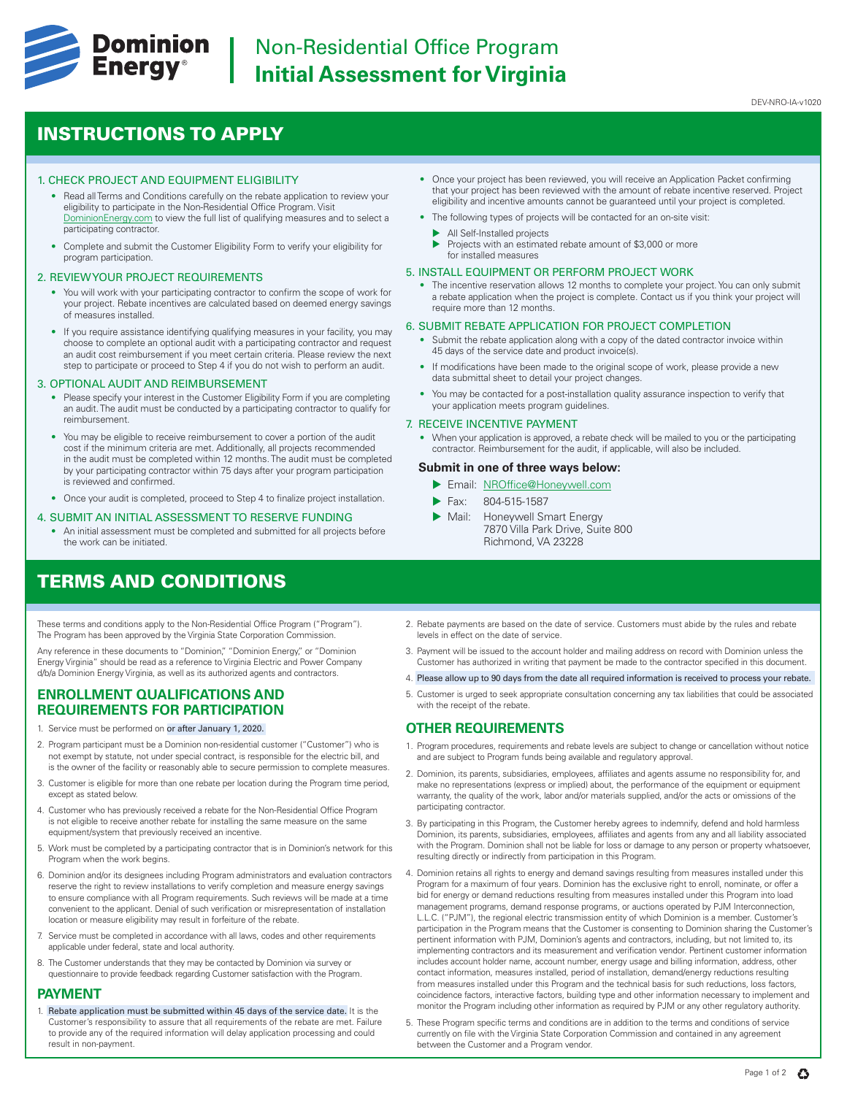

# INSTRUCTIONS TO APPLY

## 1. CHECK PROJECT AND EQUIPMENT ELIGIBILITY

- Read all Terms and Conditions carefully on the rebate application to review your eligibility to participate in the Non-Residential Office Program. Visit [DominionEnergy.com](https://www.dominionenergy.com) to view the full list of qualifying measures and to select a participating contractor.
- Complete and submit the Customer Eligibility Form to verify your eligibility for program participation.

#### 2. REVIEW YOUR PROJECT REQUIREMENTS

- You will work with your participating contractor to confirm the scope of work for your project. Rebate incentives are calculated based on deemed energy savings of measures installed.
- If you require assistance identifying qualifying measures in your facility, you may choose to complete an optional audit with a participating contractor and request an audit cost reimbursement if you meet certain criteria. Please review the next step to participate or proceed to Step 4 if you do not wish to perform an audit.

# 3. OPTIONAL AUDIT AND REIMBURSEMENT

- Please specify your interest in the Customer Eligibility Form if you are completing an audit. The audit must be conducted by a participating contractor to qualify for reimbursement.
- You may be eligible to receive reimbursement to cover a portion of the audit cost if the minimum criteria are met. Additionally, all projects recommended in the audit must be completed within 12 months. The audit must be completed by your participating contractor within 75 days after your program participation is reviewed and confirmed.
- Once your audit is completed, proceed to Step 4 to finalize project installation.

#### 4. SUBMIT AN INITIAL ASSESSMENT TO RESERVE FUNDING

• An initial assessment must be completed and submitted for all projects before the work can be initiated.

# TERMS AND CONDITIONS

These terms and conditions apply to the Non-Residential Office Program ("Program"). The Program has been approved by the Virginia State Corporation Commission.

Any reference in these documents to "Dominion," "Dominion Energy," or "Dominion Energy Virginia" should be read as a reference to Virginia Electric and Power Company d/b/a Dominion Energy Virginia, as well as its authorized agents and contractors.

# **ENROLLMENT QUALIFICATIONS AND REQUIREMENTS FOR PARTICIPATION**

- Service must be performed on or after January 1, 2020.
- 2. Program participant must be a Dominion non-residential customer ("Customer") who is not exempt by statute, not under special contract, is responsible for the electric bill, and is the owner of the facility or reasonably able to secure permission to complete measures.
- 3. Customer is eligible for more than one rebate per location during the Program time period, except as stated below.
- 4. Customer who has previously received a rebate for the Non-Residential Office Program is not eligible to receive another rebate for installing the same measure on the same equipment/system that previously received an incentive.
- 5. Work must be completed by a participating contractor that is in Dominion's network for this Program when the work begins.
- 6. Dominion and/or its designees including Program administrators and evaluation contractors reserve the right to review installations to verify completion and measure energy savings to ensure compliance with all Program requirements. Such reviews will be made at a time convenient to the applicant. Denial of such verification or misrepresentation of installation location or measure eligibility may result in forfeiture of the rebate.
- 7. Service must be completed in accordance with all laws, codes and other requirements applicable under federal, state and local authority.
- 8. The Customer understands that they may be contacted by Dominion via survey or questionnaire to provide feedback regarding Customer satisfaction with the Program.

# **PAYMENT**

1. Rebate application must be submitted within 45 days of the service date. It is the Customer's responsibility to assure that all requirements of the rebate are met. Failure to provide any of the required information will delay application processing and could result in non-payment.

- Once your project has been reviewed, you will receive an Application Packet confirming that your project has been reviewed with the amount of rebate incentive reserved. Project eligibility and incentive amounts cannot be guaranteed until your project is completed.
- The following types of projects will be contacted for an on-site visit:
	- All Self-Installed projects
	- Projects with an estimated rebate amount of \$3,000 or more for installed measures

# 5. INSTALL EQUIPMENT OR PERFORM PROJECT WORK

• The incentive reservation allows 12 months to complete your project. You can only submit a rebate application when the project is complete. Contact us if you think your project will require more than 12 months.

## 6. SUBMIT REBATE APPLICATION FOR PROJECT COMPLETION

- Submit the rebate application along with a copy of the dated contractor invoice within 45 days of the service date and product invoice(s).
- If modifications have been made to the original scope of work, please provide a new data submittal sheet to detail your project changes.
- You may be contacted for a post-installation quality assurance inspection to verify that your application meets program guidelines.

# 7. RECEIVE INCENTIVE PAYMENT

• When your application is approved, a rebate check will be mailed to you or the participating contractor. Reimbursement for the audit, if applicable, will also be included.

# **Submit in one of three ways below:**

- **Email: NROffice@Honeywell.com**
- Fax: 804-515-1587
- Mail: Honeywell Smart Energy 7870 Villa Park Drive, Suite 800 Richmond, VA 23228
- 2. Rebate payments are based on the date of service. Customers must abide by the rules and rebate levels in effect on the date of service.
- 3. Payment will be issued to the account holder and mailing address on record with Dominion unless the Customer has authorized in writing that payment be made to the contractor specified in this document.
- 4. Please allow up to 90 days from the date all required information is received to process your rebate.
- 5. Customer is urged to seek appropriate consultation concerning any tax liabilities that could be associated with the receipt of the rebate.

# **OTHER REQUIREMENTS**

- 1. Program procedures, requirements and rebate levels are subject to change or cancellation without notice and are subject to Program funds being available and regulatory approval.
- 2. Dominion, its parents, subsidiaries, employees, affiliates and agents assume no responsibility for, and make no representations (express or implied) about, the performance of the equipment or equipment warranty, the quality of the work, labor and/or materials supplied, and/or the acts or omissions of the participating contractor.
- 3. By participating in this Program, the Customer hereby agrees to indemnify, defend and hold harmless Dominion, its parents, subsidiaries, employees, affiliates and agents from any and all liability associated with the Program. Dominion shall not be liable for loss or damage to any person or property whatsoever, resulting directly or indirectly from participation in this Program.
- 4. Dominion retains all rights to energy and demand savings resulting from measures installed under this Program for a maximum of four years. Dominion has the exclusive right to enroll, nominate, or offer a bid for energy or demand reductions resulting from measures installed under this Program into load management programs, demand response programs, or auctions operated by PJM Interconnection, L.L.C. ("PJM"), the regional electric transmission entity of which Dominion is a member. Customer's participation in the Program means that the Customer is consenting to Dominion sharing the Customer's pertinent information with PJM, Dominion's agents and contractors, including, but not limited to, its implementing contractors and its measurement and verification vendor. Pertinent customer information includes account holder name, account number, energy usage and billing information, address, other contact information, measures installed, period of installation, demand/energy reductions resulting from measures installed under this Program and the technical basis for such reductions, loss factors, coincidence factors, interactive factors, building type and other information necessary to implement and monitor the Program including other information as required by PJM or any other regulatory authority.
- 5. These Program specific terms and conditions are in addition to the terms and conditions of service currently on file with the Virginia State Corporation Commission and contained in any agreement between the Customer and a Program vendor.